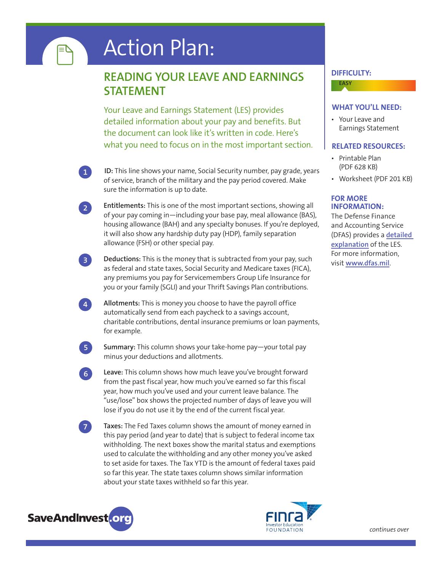# Action Plan:

### **READING YOUR LEAVE AND EARNINGS STATEMENT**

Your Leave and Earnings Statement (LES) provides detailed information about your pay and benefits. But the document can look like it's written in code. Here's what you need to focus on in the most important section.

- **ID:** This line shows your name, Social Security number, pay grade, years of service, branch of the military and the pay period covered. Make sure the information is up to date.
- **Entitlements:** This is one of the most important sections, showing all of your pay coming in—including your base pay, meal allowance (BAS), housing allowance (BAH) and any specialty bonuses. If you're deployed, it will also show any hardship duty pay (HDP), family separation allowance (FSH) or other special pay. **2**
- **Deductions:** This is the money that is subtracted from your pay, such as federal and state taxes, Social Security and Medicare taxes (FICA), any premiums you pay for Servicemembers Group Life Insurance for you or your family (SGLI) and your Thrift Savings Plan contributions. **3**

**Allotments:** This is money you choose to have the payroll office automatically send from each paycheck to a savings account, charitable contributions, dental insurance premiums or loan payments, for example.

**Summary:** This column shows your take-home pay—your total pay minus your deductions and allotments.

**Leave:** This column shows how much leave you've brought forward from the past fiscal year, how much you've earned so far this fiscal year, how much you've used and your current leave balance. The "use/lose" box shows the projected number of days of leave you will lose if you do not use it by the end of the current fiscal year.

**Taxes:** The Fed Taxes column shows the amount of money earned in this pay period (and year to date) that is subject to federal income tax withholding. The next boxes show the marital status and exemptions used to calculate the withholding and any other money you've asked to set aside for taxes. The Tax YTD is the amount of federal taxes paid so far this year. The state taxes column shows similar information about your state taxes withheld so far this year.



**7**

**6**

**5**

**1**

l≡

**4**



#### **DIFFICULTY:**

## **EASY**

### **WHAT YOU'LL NEED:**

• Your Leave and Earnings Statement

### **RELATED RESOURCES:**

- Printable Plan (PDF 628 KB)
- • Worksheet (PDF 201 KB)

### **FOR MORE INFORMATION:**

The Defense Finance and Accounting Service (DFAS) provides a **[detailed](http://www.dfas.mil/dfas/militarymembers/payentitlements/aboutpay.html)  [explanation](http://www.dfas.mil/dfas/militarymembers/payentitlements/aboutpay.html)** of the LES. For more information, visit **[www.dfas.mil](http://www.dfas.mil/dfas/militarymembers/payentitlements/aboutpay.html)**.